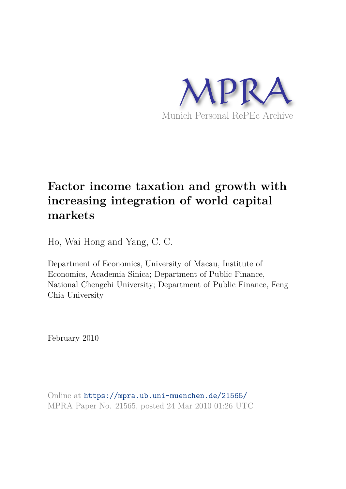

# **Factor income taxation and growth with increasing integration of world capital markets**

Ho, Wai Hong and Yang, C. C.

Department of Economics, University of Macau, Institute of Economics, Academia Sinica; Department of Public Finance, National Chengchi University; Department of Public Finance, Feng Chia University

February 2010

Online at https://mpra.ub.uni-muenchen.de/21565/ MPRA Paper No. 21565, posted 24 Mar 2010 01:26 UTC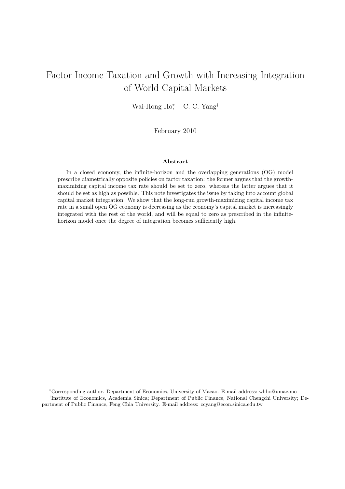## Factor Income Taxation and Growth with Increasing Integration of World Capital Markets

Wai-Hong Ho<sup>\*</sup>, C. C. Yang<sup>†</sup>

February 2010

#### Abstract

In a closed economy, the infinite-horizon and the overlapping generations (OG) model prescribe diametrically opposite policies on factor taxation: the former argues that the growthmaximizing capital income tax rate should be set to zero, whereas the latter argues that it should be set as high as possible. This note investigates the issue by taking into account global capital market integration. We show that the long-run growth-maximizing capital income tax rate in a small open OG economy is decreasing as the economy's capital market is increasingly integrated with the rest of the world, and will be equal to zero as prescribed in the infinitehorizon model once the degree of integration becomes sufficiently high.

<sup>∗</sup>Corresponding author. Department of Economics, University of Macao. E-mail address: whho@umac.mo † Institute of Economics, Academia Sinica; Department of Public Finance, National Chengchi University; Department of Public Finance, Feng Chia University. E-mail address: ccyang@econ.sinica.edu.tw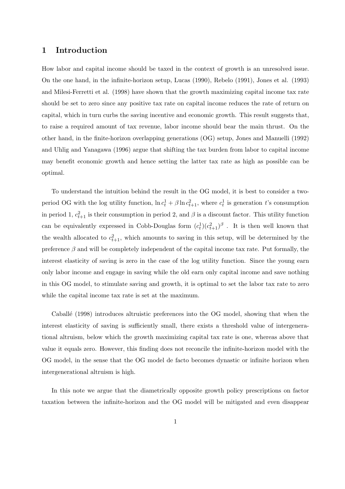### 1 Introduction

How labor and capital income should be taxed in the context of growth is an unresolved issue. On the one hand, in the infinite-horizon setup, Lucas (1990), Rebelo (1991), Jones et al. (1993) and Milesi-Ferretti et al. (1998) have shown that the growth maximizing capital income tax rate should be set to zero since any positive tax rate on capital income reduces the rate of return on capital, which in turn curbs the saving incentive and economic growth. This result suggests that, to raise a required amount of tax revenue, labor income should bear the main thrust. On the other hand, in the finite-horizon overlapping generations (OG) setup, Jones and Manuelli (1992) and Uhlig and Yanagawa (1996) argue that shifting the tax burden from labor to capital income may benefit economic growth and hence setting the latter tax rate as high as possible can be optimal.

To understand the intuition behind the result in the OG model, it is best to consider a twoperiod OG with the log utility function,  $\ln c_t^1 + \beta \ln c_{t+1}^2$ , where  $c_t^1$  is generation t's consumption in period 1,  $c_{t+1}^2$  is their consumption in period 2, and  $\beta$  is a discount factor. This utility function can be equivalently expressed in Cobb-Douglas form  $(c_t^1)(c_{t+1}^2)^{\beta}$ . It is then well known that the wealth allocated to  $c_{t+1}^2$ , which amounts to saving in this setup, will be determined by the preference  $\beta$  and will be completely independent of the capital income tax rate. Put formally, the interest elasticity of saving is zero in the case of the log utility function. Since the young earn only labor income and engage in saving while the old earn only capital income and save nothing in this OG model, to stimulate saving and growth, it is optimal to set the labor tax rate to zero while the capital income tax rate is set at the maximum.

Caballé (1998) introduces altruistic preferences into the OG model, showing that when the interest elasticity of saving is sufficiently small, there exists a threshold value of intergenerational altruism, below which the growth maximizing capital tax rate is one, whereas above that value it equals zero. However, this finding does not reconcile the infinite-horizon model with the OG model, in the sense that the OG model de facto becomes dynastic or infinite horizon when intergenerational altruism is high.

In this note we argue that the diametrically opposite growth policy prescriptions on factor taxation between the infinite-horizon and the OG model will be mitigated and even disappear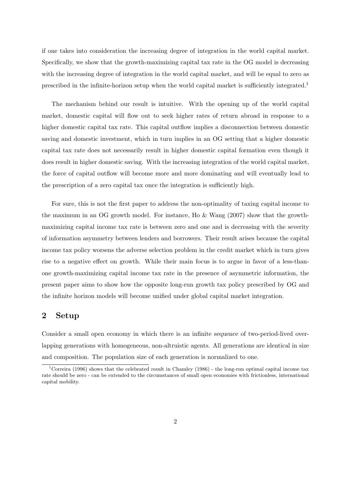if one takes into consideration the increasing degree of integration in the world capital market. Specifically, we show that the growth-maximizing capital tax rate in the OG model is decreasing with the increasing degree of integration in the world capital market, and will be equal to zero as prescribed in the infinite-horizon setup when the world capital market is sufficiently integrated.<sup>1</sup>

The mechanism behind our result is intuitive. With the opening up of the world capital market, domestic capital will flow out to seek higher rates of return abroad in response to a higher domestic capital tax rate. This capital outflow implies a disconnection between domestic saving and domestic investment, which in turn implies in an OG setting that a higher domestic capital tax rate does not necessarily result in higher domestic capital formation even though it does result in higher domestic saving. With the increasing integration of the world capital market, the force of capital outflow will become more and more dominating and will eventually lead to the prescription of a zero capital tax once the integration is sufficiently high.

For sure, this is not the first paper to address the non-optimality of taxing capital income to the maximum in an OG growth model. For instance, Ho & Wang (2007) show that the growthmaximizing capital income tax rate is between zero and one and is decreasing with the severity of information asymmetry between lenders and borrowers. Their result arises because the capital income tax policy worsens the adverse selection problem in the credit market which in turn gives rise to a negative effect on growth. While their main focus is to argue in favor of a less-thanone growth-maximizing capital income tax rate in the presence of asymmetric information, the present paper aims to show how the opposite long-run growth tax policy prescribed by OG and the infinite horizon models will become unified under global capital market integration.

## 2 Setup

Consider a small open economy in which there is an infinite sequence of two-period-lived overlapping generations with homogeneous, non-altruistic agents. All generations are identical in size and composition. The population size of each generation is normalized to one.

<sup>&</sup>lt;sup>1</sup>Correira (1996) shows that the celebrated result in Chamley (1986) - the long-run optimal capital income tax rate should be zero - can be extended to the circumstances of small open economies with frictionless, international capital mobility.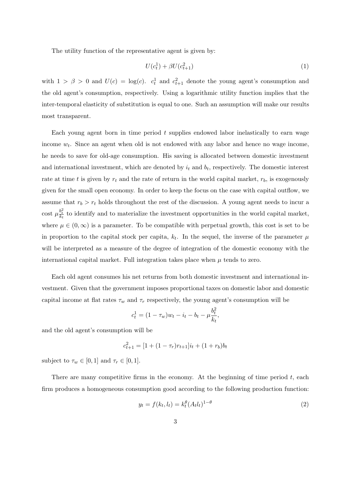The utility function of the representative agent is given by:

$$
U(c_t^1) + \beta U(c_{t+1}^2)
$$
 (1)

with  $1 > \beta > 0$  and  $U(c) = \log(c)$ .  $c_t^1$  and  $c_{t+1}^2$  denote the young agent's consumption and the old agent's consumption, respectively. Using a logarithmic utility function implies that the inter-temporal elasticity of substitution is equal to one. Such an assumption will make our results most transparent.

Each young agent born in time period t supplies endowed labor inelastically to earn wage income  $w_t$ . Since an agent when old is not endowed with any labor and hence no wage income, he needs to save for old-age consumption. His saving is allocated between domestic investment and international investment, which are denoted by  $i_t$  and  $b_t$ , respectively. The domestic interest rate at time t is given by  $r_t$  and the rate of return in the world capital market,  $r_b$ , is exogenously given for the small open economy. In order to keep the focus on the case with capital outflow, we assume that  $r_b > r_t$  holds throughout the rest of the discussion. A young agent needs to incur a cost  $\mu_{\overline{k}_t}^{b_t^2}$  to identify and to materialize the investment opportunities in the world capital market, where  $\mu \in (0,\infty)$  is a parameter. To be compatible with perpetual growth, this cost is set to be in proportion to the capital stock per capita,  $k_t$ . In the sequel, the inverse of the parameter  $\mu$ will be interpreted as a measure of the degree of integration of the domestic economy with the international capital market. Full integration takes place when  $\mu$  tends to zero.

Each old agent consumes his net returns from both domestic investment and international investment. Given that the government imposes proportional taxes on domestic labor and domestic capital income at flat rates  $\tau_w$  and  $\tau_r$  respectively, the young agent's consumption will be

$$
c_t^1 = (1 - \tau_w)w_t - i_t - b_t - \mu \frac{b_t^2}{k_t},
$$

and the old agent's consumption will be

$$
c_{t+1}^2 = [1 + (1 - \tau_r)r_{t+1}]i_t + (1 + r_b)b_t
$$

subject to  $\tau_w \in [0, 1]$  and  $\tau_r \in [0, 1]$ .

There are many competitive firms in the economy. At the beginning of time period  $t$ , each firm produces a homogeneous consumption good according to the following production function:

$$
y_t = f(k_t, l_t) = k_t^{\theta} (A_t l_t)^{1-\theta}
$$
\n
$$
\tag{2}
$$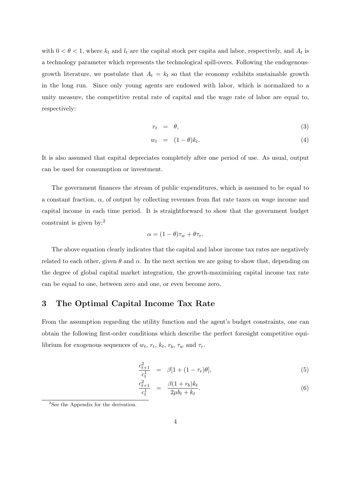with  $0 < \theta < 1$ , where  $k_t$  and  $l_t$  are the capital stock per capita and labor, respectively, and  $A_t$  is a technology parameter which represents the technological spill-overs. Following the endogenousgrowth literature, we postulate that  $A_t = k_t$  so that the economy exhibits sustainable growth in the long run. Since only young agents are endowed with labor, which is normalized to a unity measure, the competitive rental rate of capital and the wage rate of labor are equal to, respectively:

$$
r_t = \theta,\tag{3}
$$

$$
w_t = (1 - \theta)k_t. \tag{4}
$$

It is also assumed that capital depreciates completely after one period of use. As usual, output can be used for consumption or investment.

The government finances the stream of public expenditures, which is assumed to be equal to a constant fraction,  $\alpha$ , of output by collecting revenues from flat rate taxes on wage income and capital income in each time period. It is straightforward to show that the government budget constraint is given by:<sup>2</sup>

$$
\alpha = (1 - \theta)\tau_w + \theta\tau_r.
$$

The above equation clearly indicates that the capital and labor income tax rates are negatively related to each other, given  $\theta$  and  $\alpha$ . In the next section we are going to show that, depending on the degree of global capital market integration, the growth-maximizing capital income tax rate can be equal to one, between zero and one, or even become zero.

## 3 The Optimal Capital Income Tax Rate

From the assumption regarding the utility function and the agent's budget constraints, one can obtain the following first-order conditions which describe the perfect foresight competitive equilibrium for exogenous sequences of  $w_t$ ,  $r_t$ ,  $k_t$ ,  $r_b$ ,  $\tau_w$  and  $\tau_r$ .

$$
\frac{c_{t+1}^2}{c_t^1} = \beta[1 + (1 - \tau_r)\theta], \tag{5}
$$

$$
\frac{c_{t+1}^2}{c_t^1} = \frac{\beta(1+r_b)k_t}{2\mu b_t + k_t}.
$$
\n(6)

<sup>&</sup>lt;sup>2</sup>See the Appendix for the derivation.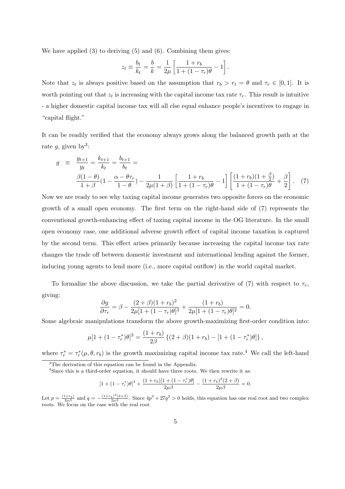We have applied  $(3)$  to deriving  $(5)$  and  $(6)$ . Combining them gives:

$$
z_t \equiv \frac{b_t}{k_t} = \frac{b}{k} = \frac{1}{2\mu} \left[ \frac{1 + r_b}{1 + (1 - \tau_r)\theta} - 1 \right].
$$

Note that  $z_t$  is always positive based on the assumption that  $r_b > r_t = \theta$  and  $\tau_r \in [0,1]$ . It is worth pointing out that  $z_t$  is increasing with the capital income tax rate  $\tau_r$ . This result is intuitive - a higher domestic capital income tax will all else equal enhance people's incentives to engage in "capital flight."

It can be readily verified that the economy always grows along the balanced growth path at the rate  $g$ , given by<sup>3</sup>:

$$
g = \frac{y_{t+1}}{y_t} = \frac{k_{t+1}}{k_t} = \frac{b_{t+1}}{b_t} = \frac{b_{t+1}}{b_t} = \frac{\beta(1-\theta)}{1+\beta}(1-\frac{\alpha-\theta\tau_r}{1-\theta}) - \frac{1}{2\mu(1+\beta)} \left[\frac{1+r_b}{1+(1-\tau_r)\theta} - 1\right] \left[\frac{(1+r_b)(1+\frac{\beta}{2})}{1+(1-\tau_r)\theta} + \frac{\beta}{2}\right]. \tag{7}
$$

Now we are ready to see why taxing capital income generates two opposite forces on the economic growth of a small open economy. The first term on the right-hand side of (7) represents the conventional growth-enhancing effect of taxing capital income in the OG literature. In the small open economy case, one additional adverse growth effect of capital income taxation is captured by the second term. This effect arises primarily because increasing the capital income tax rate changes the trade off between domestic investment and international lending against the former, inducing young agents to lend more (i.e., more capital outflow) in the world capital market.

To formalize the above discussion, we take the partial derivative of (7) with respect to  $\tau_r$ , giving:

$$
\frac{\partial g}{\partial \tau_r} = \beta - \frac{(2+\beta)(1+r_b)^2}{2\mu[1+(1-\tau_r)\theta]^3} + \frac{(1+r_b)}{2\mu[1+(1-\tau_r)\theta]^2} = 0.
$$

Some algebraic manipulations transform the above growth-maximizing first-order condition into:

$$
\mu[1 + (1 - \tau_r^*)\theta]^3 = \frac{(1 + r_b)}{2\beta} \left\{ (2 + \beta)(1 + r_b) - [1 + (1 - \tau_r^*)\theta] \right\},\,
$$

where  $\tau_r^* = \tau_r^*(\mu, \theta, r_b)$  is the growth maximizing capital income tax rate.<sup>4</sup> We call the left-hand

<sup>3</sup>The derivation of this equation can be found in the Appendix.

$$
[1 + (1 - \tau_r^*)\theta]^3 + \frac{(1 + r_b)[1 + (1 - \tau_r^*)\theta]}{2\mu\beta} - \frac{(1 + r_b)^2(2 + \beta)}{2\mu\beta} = 0.
$$

Let  $p = \frac{(1+r_b)}{2\mu\beta}$  and  $q = -\frac{(1+r_b)^2(2+\beta)}{2\mu\beta}$ . Since  $4p^3 + 27q^2 > 0$  holds, this equation has one real root and two complex roots. We focus on the case with the real root.

 $4$ Since this is a third-order equation, it should have three roots. We then rewrite it as: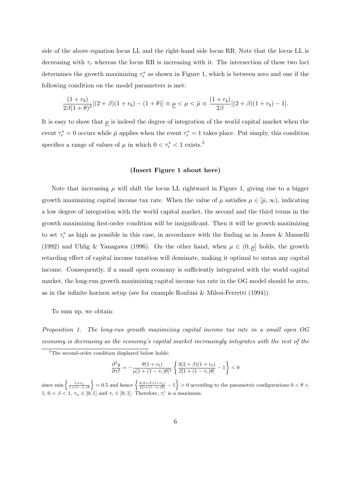side of the above equation locus LL and the right-hand side locus RR. Note that the locus LL is decreasing with  $\tau_r$  whereas the locus RR is increasing with it. The intersection of these two loci determines the growth maximizing  $\tau_r^*$  as shown in Figure 1, which is between zero and one if the following condition on the model parameters is met:

$$
\frac{(1+r_b)}{2\beta(1+\theta)^3}[(2+\beta)(1+r_b)-(1+\theta)] \equiv \underline{\mu} < \mu < \bar{\mu} \equiv \frac{(1+r_b)}{2\beta}[(2+\beta)(1+r_b)-1].
$$

It is easy to show that  $\mu$  is indeed the degree of integration of the world capital market when the event  $\tau_r^* = 0$  occurs while  $\bar{\mu}$  applies when the event  $\tau_r^* = 1$  takes place. Put simply, this condition specifies a range of values of  $\mu$  in which  $0 < \tau_r^* < 1$  exists.<sup>5</sup>

#### (Insert Figure 1 about here)

Note that increasing  $\mu$  will shift the locus LL rightward in Figure 1, giving rise to a bigger growth maximizing capital income tax rate. When the value of  $\mu$  satisfies  $\mu \in [\bar{\mu}, \infty)$ , indicating a low degree of integration with the world capital market, the second and the third terms in the growth maximizing first-order condition will be insignificant. Then it will be growth maximizing to set  $\tau_r^*$  as high as possible in this case, in accordance with the finding as in Jones & Manuelli (1992) and Uhlig & Yanagawa (1996). On the other hand, when  $\mu \in (0, \mu]$  holds, the growth retarding effect of capital income taxation will dominate, making it optimal to untax any capital income. Consequently, if a small open economy is sufficiently integrated with the world capital market, the long-run growth maximizing capital income tax rate in the OG model should be zero, as in the infinite horizon setup (see for example Roubini & Milesi-Ferretti (1994)).

To sum up, we obtain:

Proposition 1. The long-run growth maximizing capital income tax rate in a small open OG economy is decreasing as the economy's capital market increasingly integrates with the rest of the

$$
\frac{\partial^2 g}{\partial \tau_r^2} = -\frac{\theta(1+r_b)}{\mu[1+(1-\tau_r)\theta]^3} \left\{ \frac{3(2+\beta)(1+r_b)}{2[1+(1-\tau_r)\theta]} - 1 \right\} < 0
$$

since  $\min\left\{\frac{1+r_b}{1+(1-\tau_r)\theta}\right\} = 0.5$  and hence  $\left\{\frac{3(2+\beta)(1+r_b)}{2[1+(1-\tau_r)\theta]}-1\right\} > 0$  according to the parametric configurations  $0 < \theta <$  $1, 0 < \beta < 1, \tau_w \in [0, 1]$  and  $\tau_r \in [0, 1]$ . Therefore,  $\tau_r^*$  is a maximum.

<sup>&</sup>lt;sup>5</sup>The second-order condition displayed below holds: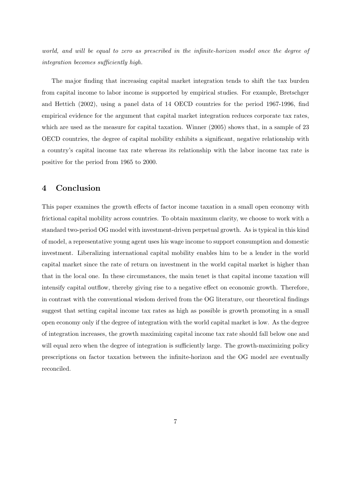world, and will be equal to zero as prescribed in the infinite-horizon model once the degree of integration becomes sufficiently high.

The major finding that increasing capital market integration tends to shift the tax burden from capital income to labor income is supported by empirical studies. For example, Bretschger and Hettich (2002), using a panel data of 14 OECD countries for the period 1967-1996, find empirical evidence for the argument that capital market integration reduces corporate tax rates, which are used as the measure for capital taxation. Winner (2005) shows that, in a sample of 23 OECD countries, the degree of capital mobility exhibits a significant, negative relationship with a country's capital income tax rate whereas its relationship with the labor income tax rate is positive for the period from 1965 to 2000.

## 4 Conclusion

This paper examines the growth effects of factor income taxation in a small open economy with frictional capital mobility across countries. To obtain maximum clarity, we choose to work with a standard two-period OG model with investment-driven perpetual growth. As is typical in this kind of model, a representative young agent uses his wage income to support consumption and domestic investment. Liberalizing international capital mobility enables him to be a lender in the world capital market since the rate of return on investment in the world capital market is higher than that in the local one. In these circumstances, the main tenet is that capital income taxation will intensify capital outflow, thereby giving rise to a negative effect on economic growth. Therefore, in contrast with the conventional wisdom derived from the OG literature, our theoretical findings suggest that setting capital income tax rates as high as possible is growth promoting in a small open economy only if the degree of integration with the world capital market is low. As the degree of integration increases, the growth maximizing capital income tax rate should fall below one and will equal zero when the degree of integration is sufficiently large. The growth-maximizing policy prescriptions on factor taxation between the infinite-horizon and the OG model are eventually reconciled.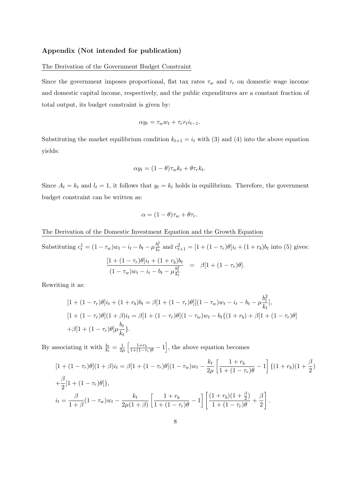#### Appendix (Not intended for publication)

#### The Derivation of the Government Budget Constraint

Since the government imposes proportional, flat tax rates  $\tau_w$  and  $\tau_r$  on domestic wage income and domestic capital income, respectively, and the public expenditures are a constant fraction of total output, its budget constraint is given by:

$$
\alpha y_t = \tau_w w_t + \tau_r r_t i_{t-1}.
$$

Substituting the market equilibrium condition  $k_{t+1} = i_t$  with (3) and (4) into the above equation yields:

$$
\alpha y_t = (1 - \theta)\tau_w k_t + \theta \tau_r k_t.
$$

Since  $A_t = k_t$  and  $l_t = 1$ , it follows that  $y_t = k_t$  holds in equilibrium. Therefore, the government budget constraint can be written as:

$$
\alpha = (1 - \theta)\tau_w + \theta\tau_r.
$$

The Derivation of the Domestic Investment Equation and the Growth Equation

Substituting  $c_t^1 = (1 - \tau_w)w_t - i_t - b_t - \mu_{\overline{k}_t}^{b_t^2}$  and  $c_{t+1}^2 = [1 + (1 - \tau_r)\theta]i_t + (1 + r_b)b_t$  into (5) gives:

$$
\frac{[1+(1-\tau_r)\theta]i_t+(1+r_b)b_t}{(1-\tau_w)w_t-i_t-b_t-\mu_{k_t}^{\frac{b_t^2}{k}}} = \beta[1+(1-\tau_r)\theta].
$$

Rewriting it as:

$$
[1 + (1 - \tau_r)\theta]i_t + (1 + r_b)b_t = \beta[1 + (1 - \tau_r)\theta][(1 - \tau_w)w_t - i_t - b_t - \mu \frac{b_t^2}{k_t}],
$$
  
\n
$$
[1 + (1 - \tau_r)\theta](1 + \beta)i_t = \beta[1 + (1 - \tau_r)\theta](1 - \tau_w)w_t - b_t\{(1 + r_b) + \beta[1 + (1 - \tau_r)\theta]\mu \frac{b_t}{k_t}\}.
$$

By associating it with  $\frac{b_t}{k_t} = \frac{1}{2\mu} \left[ \frac{1+r_b}{1+(1-\tau_r)\theta} - 1 \right]$ , the above equation becomes

$$
[1 + (1 - \tau_r)\theta](1 + \beta)i_t = \beta[1 + (1 - \tau_r)\theta](1 - \tau_w)w_t - \frac{k_t}{2\mu} \left[ \frac{1 + r_b}{1 + (1 - \tau_r)\theta} - 1 \right] \{(1 + r_b)(1 + \frac{\beta}{2})
$$
  
 
$$
+ \frac{\beta}{2}[1 + (1 - \tau_r)\theta]\},
$$
  
\n
$$
i_t = \frac{\beta}{1 + \beta}(1 - \tau_w)w_t - \frac{k_t}{2\mu(1 + \beta)} \left[ \frac{1 + r_b}{1 + (1 - \tau_r)\theta} - 1 \right] \left[ \frac{(1 + r_b)(1 + \frac{\beta}{2})}{1 + (1 - \tau_r)\theta} + \frac{\beta}{2} \right].
$$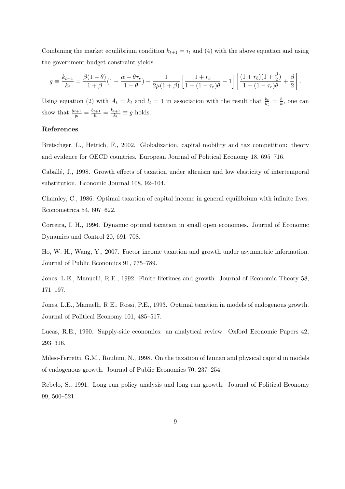Combining the market equilibrium condition  $k_{t+1} = i_t$  and (4) with the above equation and using the government budget constraint yields

$$
g \equiv \frac{k_{t+1}}{k_t} = \frac{\beta(1-\theta)}{1+\beta}(1-\frac{\alpha-\theta\tau_r}{1-\theta}) - \frac{1}{2\mu(1+\beta)} \left[ \frac{1+r_b}{1+(1-\tau_r)\theta} - 1 \right] \left[ \frac{(1+r_b)(1+\frac{\beta}{2})}{1+(1-\tau_r)\theta} + \frac{\beta}{2} \right].
$$

Using equation (2) with  $A_t = k_t$  and  $l_t = 1$  in association with the result that  $\frac{b_t}{k_t} = \frac{b_t}{k_t}$  $\frac{b}{k}$ , one can show that  $\frac{y_{t+1}}{y_t} = \frac{b_{t+1}}{b_t}$  $\frac{t+1}{b_t} = \frac{k_{t+1}}{k_t}$  $\frac{t+1}{k_t} \equiv g$  holds.

#### References

Bretschger, L., Hettich, F., 2002. Globalization, capital mobility and tax competition: theory and evidence for OECD countries. European Journal of Political Economy 18, 695–716.

Caball´e, J., 1998. Growth effects of taxation under altruism and low elasticity of intertemporal substitution. Economic Journal 108, 92–104.

Chamley, C., 1986. Optimal taxation of capital income in general equilibrium with infinite lives. Econometrica 54, 607–622.

Correira, I. H., 1996. Dynamic optimal taxation in small open economies. Journal of Economic Dynamics and Control 20, 691–708.

Ho, W. H., Wang, Y., 2007. Factor income taxation and growth under asymmetric information. Journal of Public Economics 91, 775–789.

Jones, L.E., Manuelli, R.E., 1992. Finite lifetimes and growth. Journal of Economic Theory 58, 171–197.

Jones, L.E., Manuelli, R.E., Rossi, P.E., 1993. Optimal taxation in models of endogenous growth. Journal of Political Economy 101, 485–517.

Lucas, R.E., 1990. Supply-side economics: an analytical review. Oxford Economic Papers 42, 293–316.

Milesi-Ferretti, G.M., Roubini, N., 1998. On the taxation of human and physical capital in models of endogenous growth. Journal of Public Economics 70, 237–254.

Rebelo, S., 1991. Long run policy analysis and long run growth. Journal of Political Economy 99, 500–521.